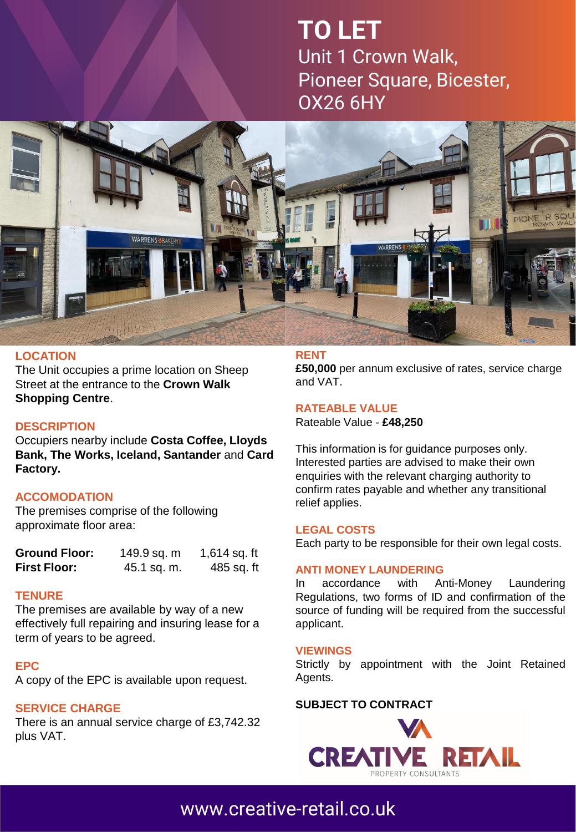# **TO LET** Unit 1 Crown Walk, Pioneer Square, Bicester, OX26 6HY



## **LOCATION**

The Unit occupies a prime location on Sheep Street at the entrance to the **Crown Walk Shopping Centre**.

## **DESCRIPTION**

Occupiers nearby include **Costa Coffee, Lloyds Bank, The Works, Iceland, Santander** and **Card Factory.**

## **ACCOMODATION**

The premises comprise of the following approximate floor area:

| <b>Ground Floor:</b> | 149.9 sq. m | 1,614 sq. ft |
|----------------------|-------------|--------------|
| <b>First Floor:</b>  | 45.1 sq. m. | 485 sq. ft   |

#### **TENURE**

The premises are available by way of a new effectively full repairing and insuring lease for a term of years to be agreed.

## **EPC**

A copy of the EPC is available upon request.

## **SERVICE CHARGE**

There is an annual service charge of £3,742.32 plus VAT.

#### **RENT**

**£50,000** per annum exclusive of rates, service charge and VAT.

## **RATEABLE VALUE**

Rateable Value - **£48,250**

This information is for guidance purposes only. Interested parties are advised to make their own enquiries with the relevant charging authority to confirm rates payable and whether any transitional relief applies.

#### **LEGAL COSTS**

Each party to be responsible for their own legal costs.

#### **ANTI MONEY LAUNDERING**

In accordance with Anti-Money Laundering Regulations, two forms of ID and confirmation of the source of funding will be required from the successful applicant.

#### **VIEWINGS**

Strictly by appointment with the Joint Retained Agents.

# **SUBJECT TO [CONTRACT](http://www.creative-retail.co.uk/)**



# [www.creative-retail.co.uk](http://www.creative-retail.co.uk/)